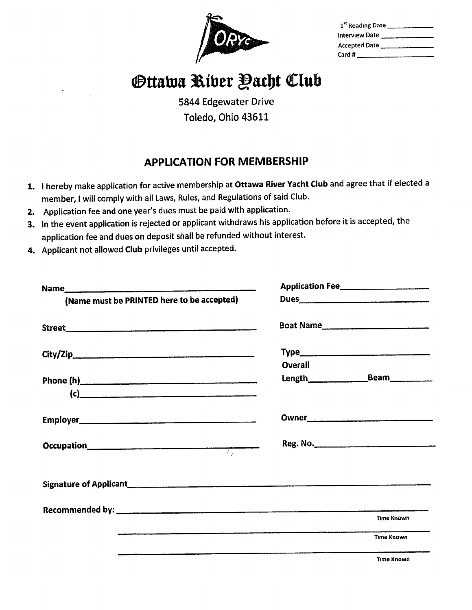| 1st Reading Date      |  |
|-----------------------|--|
| Interview Date        |  |
| Accepted Date         |  |
| Card # ______________ |  |

## **Ottawa Riber Pacht Club**

5844 Edgewater Drive Toledo, Ohio 43611

## APPLICATION FOR MEMBERSHIP

- 1. I hereby make application for active membership at Ottawa River Yacht Club and agree that if elected a member, I will comply with all Laws, Rules, and Regulations of said Club.
- 2. Application fee and one year's dues must be paid with application.
- 3. In the event application is rejected or applicant withdraws his application before it is accepted, the application fee and dues on deposit shall be refunded without interest.
- 4. Applicant not allowed Club privileges until accepted.

| (Name must be PRINTED here to be accepted)                                                                                                                                                                                           |                |                   |
|--------------------------------------------------------------------------------------------------------------------------------------------------------------------------------------------------------------------------------------|----------------|-------------------|
|                                                                                                                                                                                                                                      |                | Boat Name         |
|                                                                                                                                                                                                                                      |                |                   |
|                                                                                                                                                                                                                                      | <b>Overall</b> |                   |
| Phone (h) <u>and the contract of the contract of the contract of the contract of the contract of the contract of the contract of the contract of the contract of the contract of the contract of the contract of the contract of</u> |                |                   |
| $\left( c\right)$                                                                                                                                                                                                                    |                |                   |
|                                                                                                                                                                                                                                      |                |                   |
|                                                                                                                                                                                                                                      |                | Reg. No.          |
|                                                                                                                                                                                                                                      |                |                   |
|                                                                                                                                                                                                                                      |                |                   |
|                                                                                                                                                                                                                                      |                | <b>Time Known</b> |
|                                                                                                                                                                                                                                      |                | <b>Time Known</b> |
|                                                                                                                                                                                                                                      |                | <b>Time Known</b> |